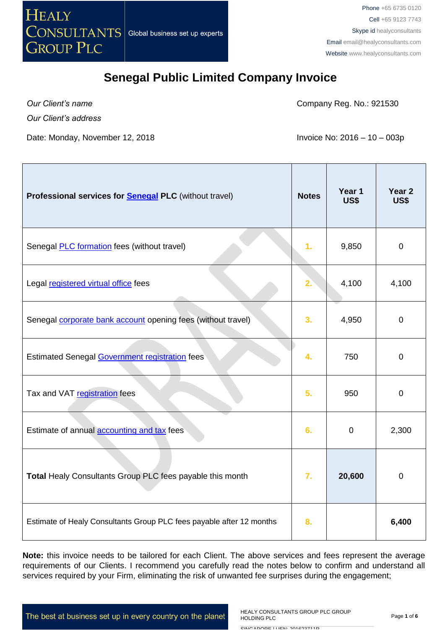

*Our Client's name*

Company Reg. No.: 921530

*Our Client's address*

Date: Monday, November 12, 2018 **Invoice No: 2016 – 10 – 003p** 

| Professional services for <b>Senegal PLC</b> (without travel)        | <b>Notes</b>   | Year 1<br>US\$ | Year <sub>2</sub><br><b>US\$</b> |
|----------------------------------------------------------------------|----------------|----------------|----------------------------------|
| Senegal <b>PLC</b> formation fees (without travel)                   | 1.             | 9,850          | $\mathbf 0$                      |
| Legal registered virtual office fees                                 | 2.             | 4,100          | 4,100                            |
| Senegal <b>corporate bank account</b> opening fees (without travel)  | 3 <sub>1</sub> | 4,950          | $\mathbf 0$                      |
| <b>Estimated Senegal Government registration fees</b>                | 4.             | 750            | $\mathbf 0$                      |
| Tax and VAT registration fees                                        | 5.             | 950            | 0                                |
| Estimate of annual <b>accounting and tax</b> fees                    | 6.             | $\mathbf 0$    | 2,300                            |
| Total Healy Consultants Group PLC fees payable this month            | 7.             | 20,600         | $\mathbf 0$                      |
| Estimate of Healy Consultants Group PLC fees payable after 12 months | 8.             |                | 6,400                            |

**Note:** this invoice needs to be tailored for each Client. The above services and fees represent the average requirements of our Clients. I recommend you carefully read the notes below to confirm and understand all services required by your Firm, eliminating the risk of unwanted fee surprises during the engagement;

The best at business set up in every country on the planet

HEALY CONSULTANTS GROUP PLC GROUP HOLDING PLC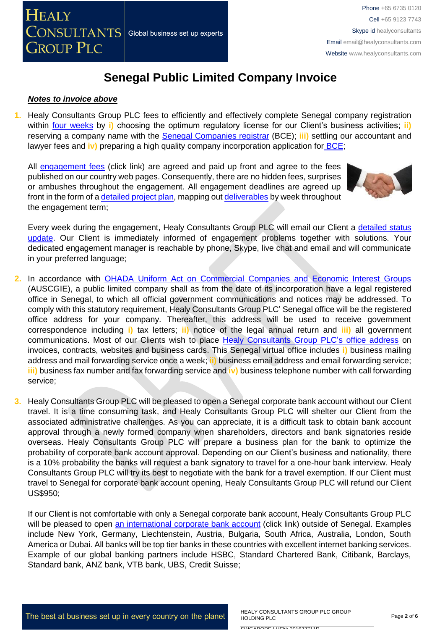#### *Notes to invoice above*

**1.** Healy Consultants Group PLC fees to efficiently and effectively complete Senegal company registration within [four weeks](http://www.healyconsultants.com/senegal-company-registration/fees-timelines/) by **i)** choosing the optimum regulatory license for our Client's business activities; **ii)** reserving a company name with the [Senegal Companies registrar](http://creationdentreprise.sn/les-formalites-de-creation) (BCE); **iii)** settling our accountant and lawyer fees and *iv*) preparing a high quality company incorporation application for **BCE**;

All [engagement fees](http://www.healyconsultants.com/company-registration-fees/) (click link) are agreed and paid up front and agree to the fees published on our country web pages. Consequently, there are no hidden fees, surprises or ambushes throughout the engagement. All engagement deadlines are agreed up front in the form of a [detailed project plan,](http://www.healyconsultants.com/index-important-links/example-project-plan/) mapping out [deliverables](http://www.healyconsultants.com/deliverables-to-our-clients/) by week throughout the engagement term;



Every week during the engagement, Healy Consultants Group PLC will email our Client a detailed status [update.](http://www.healyconsultants.com/index-important-links/weekly-engagement-status-email/) Our Client is immediately informed of engagement problems together with solutions. Your dedicated engagement manager is reachable by phone, Skype, live chat and email and will communicate in your preferred language;

- **2.** In accordance with [OHADA Uniform Act on Commercial Companies and Economic Interest Groups](http://www.ohadalegis.com/anglais/tableaustescomgb1.htm) (AUSCGIE), a public limited company shall as from the date of its incorporation have a legal registered office in Senegal, to which all official government communications and notices may be addressed. To comply with this statutory requirement, Healy Consultants Group PLC' Senegal office will be the registered office address for your company. Thereafter, this address will be used to receive government correspondence including **i)** tax letters; **ii)** notice of the legal annual return and **iii)** all government communications. Most of our Clients wish to place Healy [Consultants Group PLC's](http://www.healyconsultants.com/corporate-outsourcing-services/company-secretary-and-legal-registered-office/) office address on invoices, contracts, websites and business cards. This Senegal virtual office includes **i)** business mailing address and mail forwarding service once a week; **ii)** business email address and email forwarding service; **iii)** business fax number and fax forwarding service and **iv)** business telephone number with call forwarding service;
- **3.** Healy Consultants Group PLC will be pleased to open a Senegal corporate bank account without our Client travel. It is a time consuming task, and Healy Consultants Group PLC will shelter our Client from the associated administrative challenges. As you can appreciate, it is a difficult task to obtain bank account approval through a newly formed company when shareholders, directors and bank signatories reside overseas. Healy Consultants Group PLC will prepare a business plan for the bank to optimize the probability of corporate bank account approval. Depending on our Client's business and nationality, there is a 10% probability the banks will request a bank signatory to travel for a one-hour bank interview. Healy Consultants Group PLC will try its best to negotiate with the bank for a travel exemption. If our Client must travel to Senegal for corporate bank account opening, Healy Consultants Group PLC will refund our Client US\$950;

If our Client is not comfortable with only a Senegal corporate bank account, Healy Consultants Group PLC will be pleased to open [an international corporate bank account](http://www.healyconsultants.com/international-banking/) (click link) outside of Senegal. Examples include New York, Germany, Liechtenstein, Austria, Bulgaria, South Africa, Australia, London, South America or Dubai. All banks will be top tier banks in these countries with excellent internet banking services. Example of our global banking partners include HSBC, Standard Chartered Bank, Citibank, Barclays, Standard bank, ANZ bank, VTB bank, UBS, Credit Suisse;

The best at business set up in every country on the planet

HEALY CONSULTANTS GROUP PLC GROUP HOLDING PLC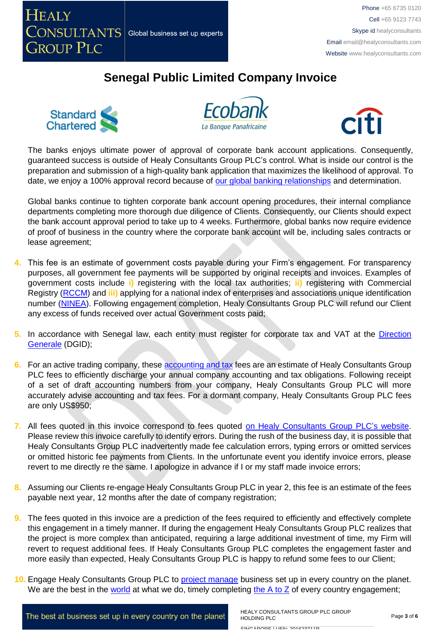







The banks enjoys ultimate power of approval of corporate bank account applications. Consequently, guaranteed success is outside of Healy Consultants Group PLC's control. What is inside our control is the preparation and submission of a high-quality bank application that maximizes the likelihood of approval. To date, we enjoy a 100% approval record because of [our global banking relationships](http://www.healyconsultants.com/international-banking/corporate-accounts/) and determination.

Global banks continue to tighten corporate bank account opening procedures, their internal compliance departments completing more thorough due diligence of Clients. Consequently, our Clients should expect the bank account approval period to take up to 4 weeks. Furthermore, global banks now require evidence of proof of business in the country where the corporate bank account will be, including sales contracts or lease agreement;

- **4.** This fee is an estimate of government costs payable during your Firm's engagement. For transparency purposes, all government fee payments will be supported by original receipts and invoices. Examples of government costs include **i)** registering with the local tax authorities; **ii)** registering with Commercial Registry [\(RCCM\)](http://www.servicepublic.gouv.sn/index.php/demarche_administrative/demarche/1/196) and **iii)** applying for a national index of enterprises and associations unique identification number [\(NINEA\)](http://www.impotsetdomaines.gouv.sn/fr/quest-ce-que-le-ninea). Following engagement completion, Healy Consultants Group PLC will refund our Client any excess of funds received over actual Government costs paid;
- 5. In accordance with Senegal law, each entity must register for corporate tax and VAT at the Direction [Generale](http://www.impotsetdomaines.gouv.sn/) (DGID);
- **6.** For an active trading company, thes[e accounting and tax](http://www.healyconsultants.com/senegal-company-registration/accounting-legal/) fees are an estimate of Healy Consultants Group PLC fees to efficiently discharge your annual company accounting and tax obligations. Following receipt of a set of draft accounting numbers from your company, Healy Consultants Group PLC will more accurately advise accounting and tax fees. For a dormant company, Healy Consultants Group PLC fees are only US\$950;
- **7.** All fees quoted in this invoice correspond to fees quoted [on Healy Consultants Group PLC's](http://www.healyconsultants.com/company-registration-fees/) website. Please review this invoice carefully to identify errors. During the rush of the business day, it is possible that Healy Consultants Group PLC inadvertently made fee calculation errors, typing errors or omitted services or omitted historic fee payments from Clients. In the unfortunate event you identify invoice errors, please revert to me directly re the same. I apologize in advance if I or my staff made invoice errors;
- **8.** Assuming our Clients re-engage Healy Consultants Group PLC in year 2, this fee is an estimate of the fees payable next year, 12 months after the date of company registration;
- **9.** The fees quoted in this invoice are a prediction of the fees required to efficiently and effectively complete this engagement in a timely manner. If during the engagement Healy Consultants Group PLC realizes that the project is more complex than anticipated, requiring a large additional investment of time, my Firm will revert to request additional fees. If Healy Consultants Group PLC completes the engagement faster and more easily than expected, Healy Consultants Group PLC is happy to refund some fees to our Client;
- **10.** Engage Healy Consultants Group PLC to [project manage](http://www.healyconsultants.com/project-manage-engagements/) business set up in every country on the planet. We are the best in the [world](http://www.healyconsultants.com/best-in-the-world/) at what we do, timely completing the  $A$  to  $Z$  of every country engagement;

The best at business set up in every country on the planet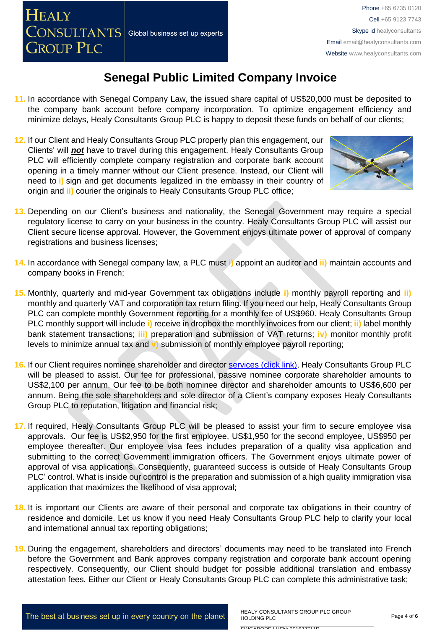- **11.** In accordance with Senegal Company Law, the issued share capital of US\$20,000 must be deposited to the company bank account before company incorporation. To optimize engagement efficiency and minimize delays, Healy Consultants Group PLC is happy to deposit these funds on behalf of our clients;
- **12.** If our Client and Healy Consultants Group PLC properly plan this engagement, our Clients' will *not* have to travel during this engagement. Healy Consultants Group PLC will efficiently complete company registration and corporate bank account opening in a timely manner without our Client presence. Instead, our Client will need to **i)** sign and get documents legalized in the embassy in their country of origin and **ii)** courier the originals to Healy Consultants Group PLC office;



- **13.** Depending on our Client's business and nationality, the Senegal Government may require a special regulatory license to carry on your business in the country. Healy Consultants Group PLC will assist our Client secure license approval. However, the Government enjoys ultimate power of approval of company registrations and business licenses;
- **14.** In accordance with Senegal company law, a PLC must **i)** appoint an auditor and **ii)** maintain accounts and company books in French;
- **15.** Monthly, quarterly and mid-year Government tax obligations include **i)** monthly payroll reporting and **ii)** monthly and quarterly VAT and corporation tax return filing. If you need our help, Healy Consultants Group PLC can complete monthly Government reporting for a monthly fee of US\$960. Healy Consultants Group PLC monthly support will include **i)** receive in dropbox the monthly invoices from our client; **ii)** label monthly bank statement transactions; **iii)** preparation and submission of VAT returns; **iv)** monitor monthly profit levels to minimize annual tax and **v)** submission of monthly employee payroll reporting;
- **16.** If our Client requires nominee shareholder and director services [\(click link\),](http://www.healyconsultants.com/corporate-outsourcing-services/nominee-shareholders-directors/) Healy Consultants Group PLC will be pleased to assist. Our fee for professional, passive nominee corporate shareholder amounts to US\$2,100 per annum. Our fee to be both nominee director and shareholder amounts to US\$6,600 per annum. Being the sole shareholders and sole director of a Client's company exposes Healy Consultants Group PLC to reputation, litigation and financial risk;
- **17.** If required, Healy Consultants Group PLC will be pleased to assist your firm to secure employee visa approvals. Our fee is US\$2,950 for the first employee, US\$1,950 for the second employee, US\$950 per employee thereafter. Our employee visa fees includes preparation of a quality visa application and submitting to the correct Government immigration officers. The Government enjoys ultimate power of approval of visa applications. Consequently, guaranteed success is outside of Healy Consultants Group PLC' control. What is inside our control is the preparation and submission of a high quality immigration visa application that maximizes the likelihood of visa approval;
- **18.** It is important our Clients are aware of their personal and corporate tax obligations in their country of residence and domicile. Let us know if you need Healy Consultants Group PLC help to clarify your local and international annual tax reporting obligations;
- **19.** During the engagement, shareholders and directors' documents may need to be translated into French before the Government and Bank approves company registration and corporate bank account opening respectively. Consequently, our Client should budget for possible additional translation and embassy attestation fees. Either our Client or Healy Consultants Group PLC can complete this administrative task;

SINIO ADODE | LIENI, 201622711B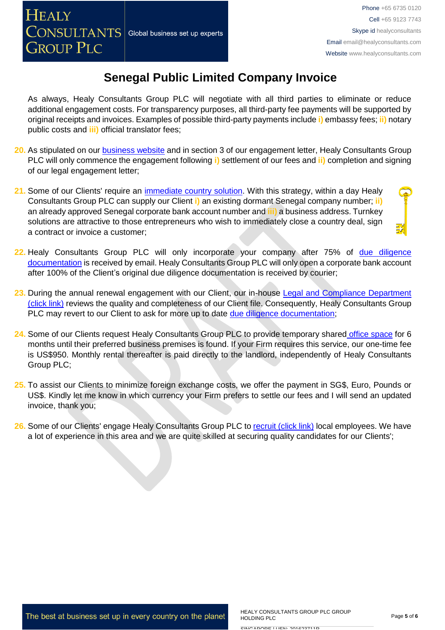As always, Healy Consultants Group PLC will negotiate with all third parties to eliminate or reduce additional engagement costs. For transparency purposes, all third-party fee payments will be supported by original receipts and invoices. Examples of possible third-party payments include **i)** embassy fees; **ii)** notary public costs and **iii)** official translator fees;

- **20.** As stipulated on our [business website](http://www.healyconsultants.com/) and in section 3 of our engagement letter, Healy Consultants Group PLC will only commence the engagement following **i)** settlement of our fees and **ii)** completion and signing of our legal engagement letter;
- **21.** Some of our Clients' require an [immediate country solution.](http://www.healyconsultants.com/turnkey-solutions/) With this strategy, within a day Healy Consultants Group PLC can supply our Client **i)** an existing dormant Senegal company number; **ii)** an already approved Senegal corporate bank account number and **iii)** a business address. Turnkey solutions are attractive to those entrepreneurs who wish to immediately close a country deal, sign a contract or invoice a customer;
- **22.** Healy Consultants Group PLC will only incorporate your company after 75% of [due diligence](http://www.healyconsultants.com/due-diligence/)  [documentation](http://www.healyconsultants.com/due-diligence/) is received by email. Healy Consultants Group PLC will only open a corporate bank account after 100% of the Client's original due diligence documentation is received by courier;
- **23.** During the annual renewal engagement with our Client, our in-house [Legal and Compliance Department](http://www.healyconsultants.com/about-us/key-personnel/cai-xin-profile/)  [\(click link\)](http://www.healyconsultants.com/about-us/key-personnel/cai-xin-profile/) reviews the quality and completeness of our Client file. Consequently, Healy Consultants Group PLC may revert to our Client to ask for more up to date [due diligence documentation;](http://www.healyconsultants.com/due-diligence/)
- 24. Some of our Clients request Healy Consultants Group PLC to provide temporary shared [office space](http://www.healyconsultants.com/virtual-office/) for 6 months until their preferred business premises is found. If your Firm requires this service, our one-time fee is US\$950. Monthly rental thereafter is paid directly to the landlord, independently of Healy Consultants Group PLC;
- **25.** To assist our Clients to minimize foreign exchange costs, we offer the payment in SG\$, Euro, Pounds or US\$. Kindly let me know in which currency your Firm prefers to settle our fees and I will send an updated invoice, thank you;
- 26. Some of our Clients' engage Healy Consultants Group PLC t[o recruit \(click link\)](http://www.healyconsultants.com/corporate-outsourcing-services/how-we-help-our-clients-recruit-quality-employees/) local employees. We have a lot of experience in this area and we are quite skilled at securing quality candidates for our Clients';